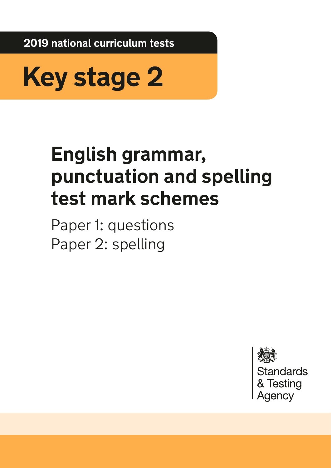**2019 national curriculum tests**



# **English grammar, punctuation and spelling test mark schemes**

Paper 1: questions Paper 2: spelling

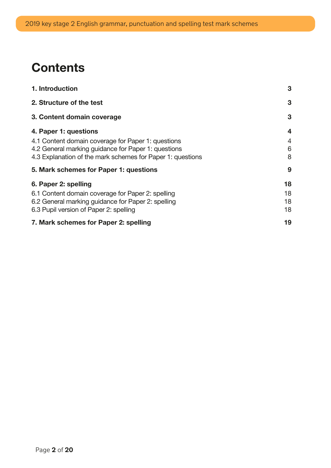## **Contents**

| 1. Introduction                                            | 3              |
|------------------------------------------------------------|----------------|
| 2. Structure of the test                                   | 3              |
| 3. Content domain coverage                                 | 3              |
| 4. Paper 1: questions                                      | $\overline{4}$ |
| 4.1 Content domain coverage for Paper 1: questions         | 4              |
| 4.2 General marking guidance for Paper 1: questions        | 6              |
| 4.3 Explanation of the mark schemes for Paper 1: questions | 8              |
| 5. Mark schemes for Paper 1: questions                     | 9              |
| 6. Paper 2: spelling                                       | 18             |
| 6.1 Content domain coverage for Paper 2: spelling          | 18             |
| 6.2 General marking guidance for Paper 2: spelling         | 18             |
| 6.3 Pupil version of Paper 2: spelling                     | 18             |
| 7. Mark schemes for Paper 2: spelling                      | 19             |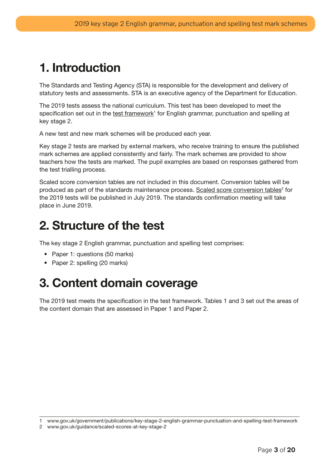## <span id="page-2-0"></span>1. Introduction

The Standards and Testing Agency (STA) is responsible for the development and delivery of statutory tests and assessments. STA is an executive agency of the Department for Education.

The 2019 tests assess the national curriculum. This test has been developed to meet the specification set out in the test framework<sup>1</sup> for English grammar, punctuation and spelling at key stage 2.

A new test and new mark schemes will be produced each year.

Key stage 2 tests are marked by external markers, who receive training to ensure the published mark schemes are applied consistently and fairly. The mark schemes are provided to show teachers how the tests are marked. The pupil examples are based on responses gathered from the test trialling process.

Scaled score conversion tables are not included in this document. Conversion tables will be produced as part of the standards maintenance process. [Scaled score conversion tables](http://www.gov.uk/guidance/scaled-scores-at-key-stage-2)<sup>2</sup> for the 2019 tests will be published in July 2019. The standards confrmation meeting will take place in June 2019.

### 2. Structure of the test

The key stage 2 English grammar, punctuation and spelling test comprises:

- Paper 1: questions (50 marks)
- Paper 2: spelling (20 marks)

## 3. Content domain coverage

The 2019 test meets the specification in the test framework. Tables 1 and 3 set out the areas of the content domain that are assessed in Paper 1 and Paper 2.

<sup>1</sup> [www.gov.uk/government/publications/key-stage-2-english-grammar-punctuation-and-spelling-test-framework](http://www.gov.uk/government/publications/key-stage-2-english-grammar-punctuation-and-spelling-test-framework)

<sup>2</sup> www.gov.uk/guidance/scaled-scores-at-key-stage-2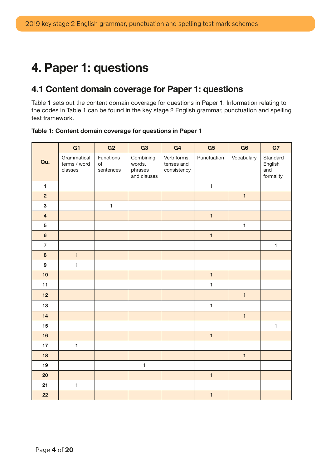## <span id="page-3-0"></span>4. Paper 1: questions

#### 4.1 Content domain coverage for Paper 1: questions

Table 1 sets out the content domain coverage for questions in Paper 1. Information relating to the codes in Table 1 can be found in the key stage 2 English grammar, punctuation and spelling test framework.

#### Table 1: Content domain coverage for questions in Paper 1

|                         | G <sub>1</sub>                         | G <sub>2</sub>               | G <sub>3</sub>                                | G <sub>4</sub>                           | G <sub>5</sub> | G <sub>6</sub> | G7                                      |
|-------------------------|----------------------------------------|------------------------------|-----------------------------------------------|------------------------------------------|----------------|----------------|-----------------------------------------|
| Qu.                     | Grammatical<br>terms / word<br>classes | Functions<br>of<br>sentences | Combining<br>words,<br>phrases<br>and clauses | Verb forms,<br>tenses and<br>consistency | Punctuation    | Vocabulary     | Standard<br>English<br>and<br>formality |
| $\blacksquare$          |                                        |                              |                                               |                                          | $\mathbf{1}$   |                |                                         |
| $\overline{2}$          |                                        |                              |                                               |                                          |                | $\mathbf{1}$   |                                         |
| 3                       |                                        | $\mathbf{1}$                 |                                               |                                          |                |                |                                         |
| $\overline{\mathbf{4}}$ |                                        |                              |                                               |                                          | $\mathbf{1}$   |                |                                         |
| 5                       |                                        |                              |                                               |                                          |                | $\mathbf{1}$   |                                         |
| $\bf 6$                 |                                        |                              |                                               |                                          | $\mathbf{1}$   |                |                                         |
| $\overline{7}$          |                                        |                              |                                               |                                          |                |                | $\mathbf{1}$                            |
| $\bf8$                  | $\mathbf{1}$                           |                              |                                               |                                          |                |                |                                         |
| $\boldsymbol{9}$        | $\mathbf{1}$                           |                              |                                               |                                          |                |                |                                         |
| 10                      |                                        |                              |                                               |                                          | $\mathbf{1}$   |                |                                         |
| 11                      |                                        |                              |                                               |                                          | $\mathbf 1$    |                |                                         |
| 12                      |                                        |                              |                                               |                                          |                | $\mathbf{1}$   |                                         |
| 13                      |                                        |                              |                                               |                                          | $\mathbf{1}$   |                |                                         |
| 14                      |                                        |                              |                                               |                                          |                | $\mathbf{1}$   |                                         |
| 15                      |                                        |                              |                                               |                                          |                |                | $\mathbf 1$                             |
| 16                      |                                        |                              |                                               |                                          | $\mathbf{1}$   |                |                                         |
| 17                      | $\mathbf{1}$                           |                              |                                               |                                          |                |                |                                         |
| 18                      |                                        |                              |                                               |                                          |                | $\mathbf{1}$   |                                         |
| 19                      |                                        |                              | $\mathbf{1}$                                  |                                          |                |                |                                         |
| 20                      |                                        |                              |                                               |                                          | $\mathbf{1}$   |                |                                         |
| 21                      | $\mathbf{1}$                           |                              |                                               |                                          |                |                |                                         |
| 22                      |                                        |                              |                                               |                                          | $\mathbf{1}$   |                |                                         |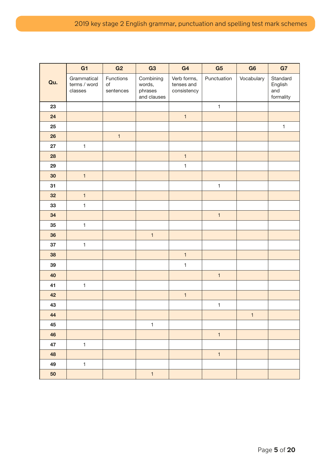|     | G1                                     | G <sub>2</sub>                      | G <sub>3</sub>                                | G <sub>4</sub>                           | G <sub>5</sub> | G <sub>6</sub> | G7                                      |
|-----|----------------------------------------|-------------------------------------|-----------------------------------------------|------------------------------------------|----------------|----------------|-----------------------------------------|
| Qu. | Grammatical<br>terms / word<br>classes | Functions<br>$\circ f$<br>sentences | Combining<br>words,<br>phrases<br>and clauses | Verb forms,<br>tenses and<br>consistency | Punctuation    | Vocabulary     | Standard<br>English<br>and<br>formality |
| 23  |                                        |                                     |                                               |                                          | $\mathbf{1}$   |                |                                         |
| 24  |                                        |                                     |                                               | $\mathbf{1}$                             |                |                |                                         |
| 25  |                                        |                                     |                                               |                                          |                |                | $\mathbf{1}$                            |
| 26  |                                        | $\mathbf{1}$                        |                                               |                                          |                |                |                                         |
| 27  | $\mathbf{1}$                           |                                     |                                               |                                          |                |                |                                         |
| 28  |                                        |                                     |                                               | $\mathbf{1}$                             |                |                |                                         |
| 29  |                                        |                                     |                                               | $\mathbf{1}$                             |                |                |                                         |
| 30  | $\mathbf{1}$                           |                                     |                                               |                                          |                |                |                                         |
| 31  |                                        |                                     |                                               |                                          | $\mathbf 1$    |                |                                         |
| 32  | $\mathbf{1}$                           |                                     |                                               |                                          |                |                |                                         |
| 33  | $\mathbf{1}$                           |                                     |                                               |                                          |                |                |                                         |
| 34  |                                        |                                     |                                               |                                          | $\mathbf{1}$   |                |                                         |
| 35  | $\mathbf{1}$                           |                                     |                                               |                                          |                |                |                                         |
| 36  |                                        |                                     | $\mathbf{1}$                                  |                                          |                |                |                                         |
| 37  | $\mathbf{1}$                           |                                     |                                               |                                          |                |                |                                         |
| 38  |                                        |                                     |                                               | $\mathbf{1}$                             |                |                |                                         |
| 39  |                                        |                                     |                                               | $\mathbf{1}$                             |                |                |                                         |
| 40  |                                        |                                     |                                               |                                          | $\mathbf{1}$   |                |                                         |
| 41  | $\mathbf{1}$                           |                                     |                                               |                                          |                |                |                                         |
| 42  |                                        |                                     |                                               | $\mathbf{1}$                             |                |                |                                         |
| 43  |                                        |                                     |                                               |                                          | $\mathbf{1}$   |                |                                         |
| 44  |                                        |                                     |                                               |                                          |                | $\mathbf{1}$   |                                         |
| 45  |                                        |                                     | $\mathbf{1}$                                  |                                          |                |                |                                         |
| 46  |                                        |                                     |                                               |                                          | $\mathbf{1}$   |                |                                         |
| 47  | $\mathbf{1}$                           |                                     |                                               |                                          |                |                |                                         |
| 48  |                                        |                                     |                                               |                                          | $\mathbf{1}$   |                |                                         |
| 49  | $\mathbf{1}$                           |                                     |                                               |                                          |                |                |                                         |
| 50  |                                        |                                     | $\mathbf{1}$                                  |                                          |                |                |                                         |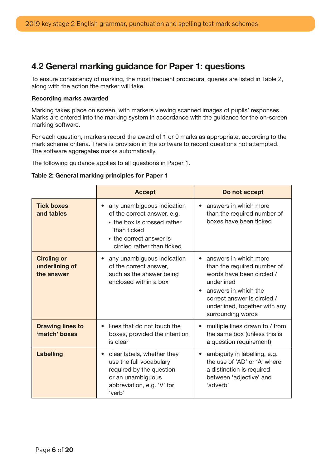#### <span id="page-5-0"></span>4.2 General marking guidance for Paper 1: questions

To ensure consistency of marking, the most frequent procedural queries are listed in Table 2, along with the action the marker will take.

#### Recording marks awarded

Marking takes place on screen, with markers viewing scanned images of pupils' responses. Marks are entered into the marking system in accordance with the guidance for the on-screen marking software.

For each question, markers record the award of 1 or 0 marks as appropriate, according to the mark scheme criteria. There is provision in the software to record questions not attempted. The software aggregates marks automatically.

The following guidance applies to all questions in Paper 1.

#### Table 2: General marking principles for Paper 1

|                                                    | <b>Accept</b>                                                                                                                                                                 | Do not accept                                                                                                                                                                                                |
|----------------------------------------------------|-------------------------------------------------------------------------------------------------------------------------------------------------------------------------------|--------------------------------------------------------------------------------------------------------------------------------------------------------------------------------------------------------------|
| <b>Tick boxes</b><br>and tables                    | any unambiguous indication<br>$\bullet$<br>of the correct answer, e.g.<br>• the box is crossed rather<br>than ticked<br>• the correct answer is<br>circled rather than ticked | answers in which more<br>than the required number of<br>boxes have been ticked                                                                                                                               |
| <b>Circling or</b><br>underlining of<br>the answer | any unambiguous indication<br>of the correct answer,<br>such as the answer being<br>enclosed within a box                                                                     | answers in which more<br>than the required number of<br>words have been circled /<br>underlined<br>answers in which the<br>correct answer is circled /<br>underlined, together with any<br>surrounding words |
| <b>Drawing lines to</b><br>'match' boxes           | lines that do not touch the<br>$\bullet$<br>boxes, provided the intention<br>is clear                                                                                         | multiple lines drawn to / from<br>$\bullet$<br>the same box (unless this is<br>a question requirement)                                                                                                       |
| <b>Labelling</b>                                   | clear labels, whether they<br>use the full vocabulary<br>required by the question<br>or an unambiguous<br>abbreviation, e.g. 'V' for<br>'verb'                                | ambiguity in labelling, e.g.<br>the use of 'AD' or 'A' where<br>a distinction is required<br>between 'adjective' and<br>'adverb'                                                                             |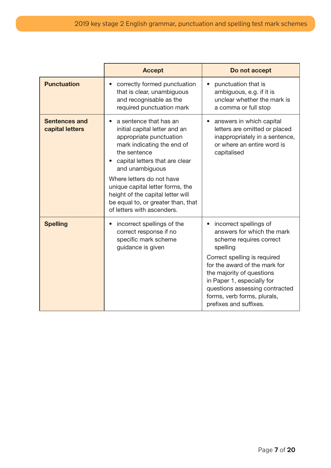|                                         | <b>Accept</b>                                                                                                                                                                                                                                                                                                                                                   | Do not accept                                                                                                                                                                                                                                                                                                                   |
|-----------------------------------------|-----------------------------------------------------------------------------------------------------------------------------------------------------------------------------------------------------------------------------------------------------------------------------------------------------------------------------------------------------------------|---------------------------------------------------------------------------------------------------------------------------------------------------------------------------------------------------------------------------------------------------------------------------------------------------------------------------------|
| <b>Punctuation</b>                      | correctly formed punctuation<br>that is clear, unambiguous<br>and recognisable as the<br>required punctuation mark                                                                                                                                                                                                                                              | punctuation that is<br>$\bullet$<br>ambiguous, e.g. if it is<br>unclear whether the mark is<br>a comma or full stop                                                                                                                                                                                                             |
| <b>Sentences and</b><br>capital letters | a sentence that has an<br>initial capital letter and an<br>appropriate punctuation<br>mark indicating the end of<br>the sentence<br>capital letters that are clear<br>and unambiguous<br>Where letters do not have<br>unique capital letter forms, the<br>height of the capital letter will<br>be equal to, or greater than, that<br>of letters with ascenders. | answers in which capital<br>letters are omitted or placed<br>inappropriately in a sentence,<br>or where an entire word is<br>capitalised                                                                                                                                                                                        |
| <b>Spelling</b>                         | incorrect spellings of the<br>correct response if no<br>specific mark scheme<br>guidance is given                                                                                                                                                                                                                                                               | incorrect spellings of<br>$\bullet$<br>answers for which the mark<br>scheme requires correct<br>spelling<br>Correct spelling is required<br>for the award of the mark for<br>the majority of questions<br>in Paper 1, especially for<br>questions assessing contracted<br>forms, verb forms, plurals,<br>prefixes and suffixes. |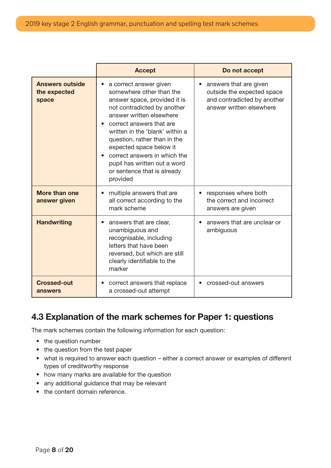<span id="page-7-0"></span>

|                                                 | <b>Accept</b>                                                                                                                                                                                                                                                                                                                                                                                                | Do not accept                                                                                                   |
|-------------------------------------------------|--------------------------------------------------------------------------------------------------------------------------------------------------------------------------------------------------------------------------------------------------------------------------------------------------------------------------------------------------------------------------------------------------------------|-----------------------------------------------------------------------------------------------------------------|
| <b>Answers outside</b><br>the expected<br>space | a correct answer given<br>$\bullet$<br>somewhere other than the<br>answer space, provided it is<br>not contradicted by another<br>answer written elsewhere<br>correct answers that are<br>$\bullet$<br>written in the 'blank' within a<br>question, rather than in the<br>expected space below it<br>correct answers in which the<br>pupil has written out a word<br>or sentence that is already<br>provided | answers that are given<br>outside the expected space<br>and contradicted by another<br>answer written elsewhere |
| <b>More than one</b><br>answer given            | multiple answers that are<br>$\bullet$<br>all correct according to the<br>mark scheme                                                                                                                                                                                                                                                                                                                        | responses where both<br>$\bullet$<br>the correct and incorrect<br>answers are given                             |
| <b>Handwriting</b>                              | answers that are clear,<br>unambiguous and<br>recognisable, including<br>letters that have been<br>reversed, but which are still<br>clearly identifiable to the<br>marker                                                                                                                                                                                                                                    | answers that are unclear or<br>ambiguous                                                                        |
| <b>Crossed-out</b><br>answers                   | correct answers that replace<br>a crossed-out attempt                                                                                                                                                                                                                                                                                                                                                        | crossed-out answers                                                                                             |

#### 4.3 Explanation of the mark schemes for Paper 1: questions

The mark schemes contain the following information for each question:

- the question number
- the question from the test paper
- what is required to answer each question either a correct answer or examples of different types of creditworthy response
- how many marks are available for the question
- any additional guidance that may be relevant
- the content domain reference.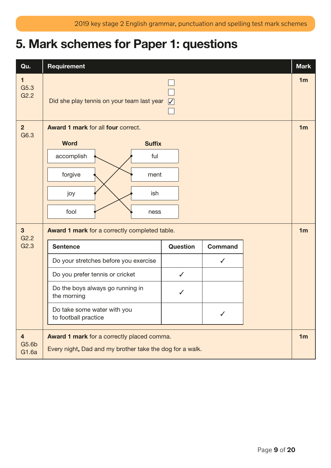## <span id="page-8-0"></span>5. Mark schemes for Paper 1: questions

| Qu.                                       | Requirement                                                                                            |                 |                |  | <b>Mark</b>    |
|-------------------------------------------|--------------------------------------------------------------------------------------------------------|-----------------|----------------|--|----------------|
| 1<br>G5.3<br>G2.2                         | Did she play tennis on your team last year                                                             | $\sqrt{}$       |                |  | 1 <sub>m</sub> |
| 2 <sup>2</sup><br>G6.3                    | Award 1 mark for all four correct.                                                                     |                 |                |  | 1 <sub>m</sub> |
|                                           | <b>Word</b><br><b>Suffix</b>                                                                           |                 |                |  |                |
|                                           | accomplish<br>ful                                                                                      |                 |                |  |                |
|                                           | forgive<br>ment                                                                                        |                 |                |  |                |
|                                           | ish<br>joy                                                                                             |                 |                |  |                |
|                                           | fool<br>ness                                                                                           |                 |                |  |                |
| $3\overline{3}$<br>G2.2                   | Award 1 mark for a correctly completed table.                                                          |                 |                |  |                |
| G2.3                                      | <b>Sentence</b>                                                                                        | <b>Question</b> | <b>Command</b> |  |                |
|                                           | Do your stretches before you exercise                                                                  |                 | ✓              |  |                |
|                                           | Do you prefer tennis or cricket                                                                        | $\checkmark$    |                |  |                |
|                                           | Do the boys always go running in<br>the morning                                                        | ✓               |                |  |                |
|                                           | Do take some water with you<br>to football practice                                                    |                 | ✓              |  |                |
| $\overline{\mathbf{4}}$<br>G5.6b<br>G1.6a | Award 1 mark for a correctly placed comma.<br>Every night, Dad and my brother take the dog for a walk. |                 |                |  | 1 <sub>m</sub> |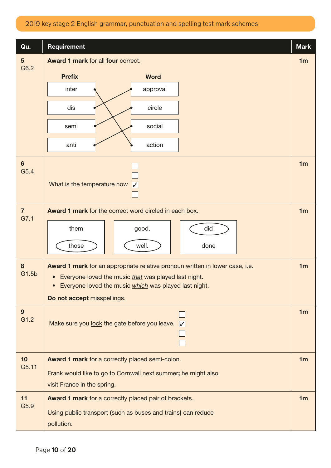| Qu.                    | Requirement                                                                                                              | <b>Mark</b>    |  |  |
|------------------------|--------------------------------------------------------------------------------------------------------------------------|----------------|--|--|
| $5\phantom{1}$<br>G6.2 | Award 1 mark for all four correct.                                                                                       | 1 <sub>m</sub> |  |  |
|                        | <b>Prefix</b><br><b>Word</b>                                                                                             |                |  |  |
|                        | inter<br>approval                                                                                                        |                |  |  |
|                        | dis<br>circle                                                                                                            |                |  |  |
|                        | social<br>semi                                                                                                           |                |  |  |
|                        | action<br>anti                                                                                                           |                |  |  |
| 6<br>G5.4              | What is the temperature now<br>$\sqrt{}$                                                                                 | 1 <sub>m</sub> |  |  |
| $\overline{7}$<br>G7.1 | <b>Award 1 mark</b> for the correct word circled in each box.                                                            | 1 <sub>m</sub> |  |  |
|                        | them<br>good.<br>did                                                                                                     |                |  |  |
|                        | those<br>well.<br>done                                                                                                   |                |  |  |
| 8                      | Award 1 mark for an appropriate relative pronoun written in lower case, i.e.                                             | 1 <sub>m</sub> |  |  |
| G1.5b                  | • Everyone loved the music that was played last night.<br>• Everyone loved the music <i>which</i> was played last night. |                |  |  |
|                        | Do not accept misspellings.                                                                                              |                |  |  |
| 9 <sup>°</sup>         |                                                                                                                          | 1 <sub>m</sub> |  |  |
| G1.2                   | Make sure you lock the gate before you leave.<br>$\sqrt{}$                                                               |                |  |  |
|                        |                                                                                                                          |                |  |  |
| 10                     | Award 1 mark for a correctly placed semi-colon.                                                                          |                |  |  |
| G5.11                  | Frank would like to go to Cornwall next summer; he might also                                                            |                |  |  |
|                        | visit France in the spring.                                                                                              |                |  |  |
| 11<br>G5.9             | Award 1 mark for a correctly placed pair of brackets.                                                                    | 1 <sub>m</sub> |  |  |
|                        | Using public transport (such as buses and trains) can reduce                                                             |                |  |  |
|                        | pollution.                                                                                                               |                |  |  |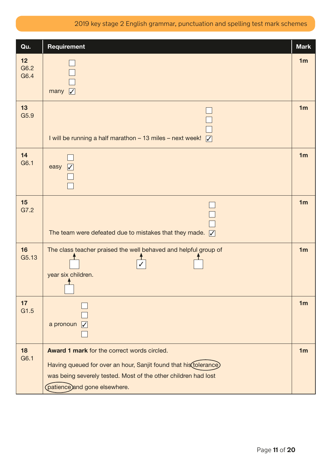| Qu.                | Requirement                                                                                                                                                                                                               | <b>Mark</b>    |
|--------------------|---------------------------------------------------------------------------------------------------------------------------------------------------------------------------------------------------------------------------|----------------|
| 12<br>G6.2<br>G6.4 | many $\sqrt{\phantom{a}}$                                                                                                                                                                                                 | 1 <sub>m</sub> |
| 13<br>G5.9         | I will be running a half marathon - 13 miles - next week! $\nabla$                                                                                                                                                        | 1 <sub>m</sub> |
| 14<br>G6.1         | easy<br>$\boldsymbol{V}$                                                                                                                                                                                                  | 1 <sub>m</sub> |
| 15<br>G7.2         | The team were defeated due to mistakes that they made. $\nabla$                                                                                                                                                           | 1 <sub>m</sub> |
| 16<br>G5.13        | The class teacher praised the well behaved and helpful group of<br>year six children.                                                                                                                                     | 1 <sub>m</sub> |
| 17<br>G1.5         | a pronoun<br>$\sqrt{}$                                                                                                                                                                                                    | 1 <sub>m</sub> |
| 18<br>G6.1         | <b>Award 1 mark</b> for the correct words circled.<br>Having queued for over an hour, Sanjit found that his (tolerance)<br>was being severely tested. Most of the other children had lost<br>patience and gone elsewhere. | 1 <sub>m</sub> |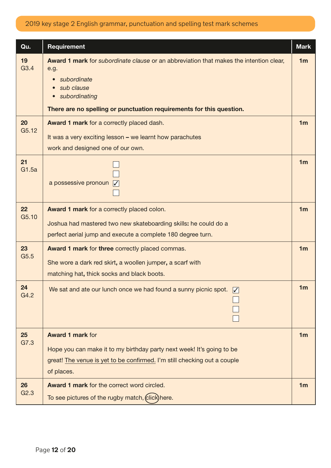| Qu.         | <b>Requirement</b>                                                                                                                                                                                                                       | <b>Mark</b>    |
|-------------|------------------------------------------------------------------------------------------------------------------------------------------------------------------------------------------------------------------------------------------|----------------|
| 19<br>G3.4  | Award 1 mark for <i>subordinate clause</i> or an abbreviation that makes the intention clear,<br>e.g.<br>subordinate<br>$\bullet$<br>sub clause<br>subordinating<br>There are no spelling or punctuation requirements for this question. | 1 <sub>m</sub> |
| 20<br>G5.12 | <b>Award 1 mark</b> for a correctly placed dash.<br>It was a very exciting lesson - we learnt how parachutes<br>work and designed one of our own.                                                                                        | 1 <sub>m</sub> |
| 21<br>G1.5a | a possessive pronoun                                                                                                                                                                                                                     | 1 <sub>m</sub> |
| 22<br>G5.10 | Award 1 mark for a correctly placed colon.<br>Joshua had mastered two new skateboarding skills: he could do a<br>perfect aerial jump and execute a complete 180 degree turn.                                                             | 1 <sub>m</sub> |
| 23<br>G5.5  | Award 1 mark for three correctly placed commas.<br>She wore a dark red skirt, a woollen jumper, a scarf with<br>matching hat, thick socks and black boots.                                                                               | 1 <sub>m</sub> |
| 24<br>G4.2  | We sat and ate our lunch once we had found a sunny picnic spot.                                                                                                                                                                          | 1 <sub>m</sub> |
| 25<br>G7.3  | <b>Award 1 mark for</b><br>Hope you can make it to my birthday party next week! It's going to be<br>great! The venue is yet to be confirmed. I'm still checking out a couple<br>of places.                                               | 1 <sub>m</sub> |
| 26<br>G2.3  | Award 1 mark for the correct word circled.<br>To see pictures of the rugby match, (click) here.                                                                                                                                          | 1 <sub>m</sub> |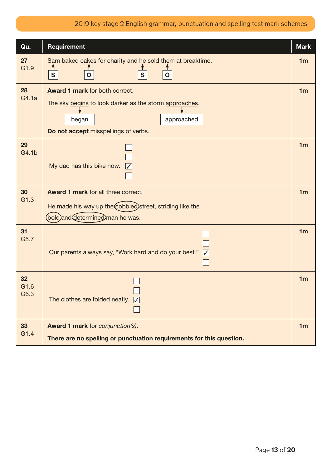| Qu.                | Requirement                                                                                                                                             | <b>Mark</b>    |
|--------------------|---------------------------------------------------------------------------------------------------------------------------------------------------------|----------------|
| 27<br>G1.9         | Sam baked cakes for charity and he sold them at breaktime.<br>S<br>S<br>$\mathbf O$<br>$\mathbf O$                                                      | 1 <sub>m</sub> |
| 28<br>G4.1a        | Award 1 mark for both correct.<br>The sky begins to look darker as the storm approaches.<br>approached<br>began<br>Do not accept misspellings of verbs. | 1 <sub>m</sub> |
| 29<br>G4.1b        | My dad has this bike now.<br>$\sqrt{}$                                                                                                                  | 1 <sub>m</sub> |
| 30<br>G1.3         | <b>Award 1 mark for all three correct.</b><br>He made his way up the cobbled) street, striding like the<br>(bold)and determined man he was.             | 1 <sub>m</sub> |
| 31<br>G5.7         | Our parents always say, "Work hard and do your best."<br>$\sqrt{}$                                                                                      | 1 <sub>m</sub> |
| 32<br>G1.6<br>G6.3 | The clothes are folded neatly.                                                                                                                          | 1 <sub>m</sub> |
| 33<br>G1.4         | <b>Award 1 mark</b> for conjunction(s).<br>There are no spelling or punctuation requirements for this question.                                         | 1 <sub>m</sub> |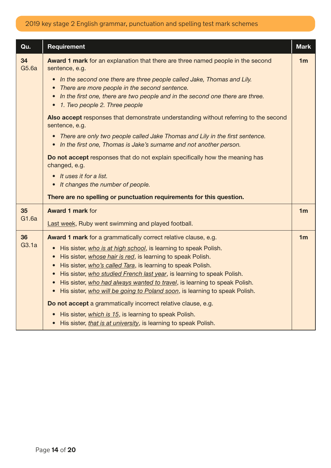| Qu.         | Requirement                                                                                                                                                                                            | <b>Mark</b>    |
|-------------|--------------------------------------------------------------------------------------------------------------------------------------------------------------------------------------------------------|----------------|
| 34<br>G5.6a | Award 1 mark for an explanation that there are three named people in the second<br>sentence, e.g.                                                                                                      | 1 <sub>m</sub> |
|             | In the second one there are three people called Jake, Thomas and Lily.<br>$\bullet$                                                                                                                    |                |
|             | There are more people in the second sentence.<br>$\bullet$<br>In the first one, there are two people and in the second one there are three.<br>$\bullet$<br>1. Two people 2. Three people<br>$\bullet$ |                |
|             | Also accept responses that demonstrate understanding without referring to the second<br>sentence, e.g.                                                                                                 |                |
|             | • There are only two people called Jake Thomas and Lily in the first sentence.<br>• In the first one, Thomas is Jake's surname and not another person.                                                 |                |
|             | Do not accept responses that do not explain specifically how the meaning has<br>changed, e.g.                                                                                                          |                |
|             | • It uses it for a list.                                                                                                                                                                               |                |
|             | • It changes the number of people.                                                                                                                                                                     |                |
|             | There are no spelling or punctuation requirements for this question.                                                                                                                                   |                |
| 35          | <b>Award 1 mark for</b>                                                                                                                                                                                | 1 <sub>m</sub> |
| G1.6a       | Last week, Ruby went swimming and played football.                                                                                                                                                     |                |
| 36          | <b>Award 1 mark</b> for a grammatically correct relative clause, e.g.                                                                                                                                  | 1 <sub>m</sub> |
| G3.1a       | His sister, who is at high school, is learning to speak Polish.<br>$\bullet$                                                                                                                           |                |
|             | His sister, whose hair is red, is learning to speak Polish.<br>$\bullet$                                                                                                                               |                |
|             | His sister, who's called Tara, is learning to speak Polish.<br>$\bullet$                                                                                                                               |                |
|             | His sister, who studied French last year, is learning to speak Polish.<br>$\bullet$<br>• His sister, who had always wanted to travel, is learning to speak Polish.                                     |                |
|             | His sister, who will be going to Poland soon, is learning to speak Polish.                                                                                                                             |                |
|             | Do not accept a grammatically incorrect relative clause, e.g.                                                                                                                                          |                |
|             | His sister, which is 15, is learning to speak Polish.<br>$\bullet$                                                                                                                                     |                |
|             | His sister, that is at university, is learning to speak Polish.<br>$\bullet$                                                                                                                           |                |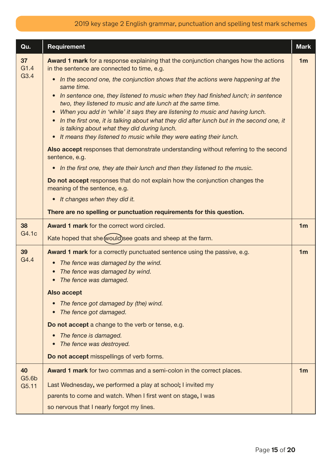| Qu.                | <b>Requirement</b>                                                                                                                                                                                                                               | <b>Mark</b>    |
|--------------------|--------------------------------------------------------------------------------------------------------------------------------------------------------------------------------------------------------------------------------------------------|----------------|
| 37<br>G1.4<br>G3.4 | <b>Award 1 mark</b> for a response explaining that the conjunction changes how the actions<br>in the sentence are connected to time, e.g.                                                                                                        | 1 <sub>m</sub> |
|                    | • In the second one, the conjunction shows that the actions were happening at the<br>same time.                                                                                                                                                  |                |
|                    | • In sentence one, they listened to music when they had finished lunch; in sentence<br>two, they listened to music and ate lunch at the same time.<br>When you add in 'while' it says they are listening to music and having lunch.<br>$\bullet$ |                |
|                    | • In the first one, it is talking about what they did after lunch but in the second one, it<br>is talking about what they did during lunch.                                                                                                      |                |
|                    | It means they listened to music while they were eating their lunch.<br>$\bullet$                                                                                                                                                                 |                |
|                    | Also accept responses that demonstrate understanding without referring to the second<br>sentence, e.g.                                                                                                                                           |                |
|                    | • In the first one, they ate their lunch and then they listened to the music.                                                                                                                                                                    |                |
|                    | Do not accept responses that do not explain how the conjunction changes the<br>meaning of the sentence, e.g.                                                                                                                                     |                |
|                    | • It changes when they did it.                                                                                                                                                                                                                   |                |
|                    | There are no spelling or punctuation requirements for this question.                                                                                                                                                                             |                |
| 38                 | Award 1 mark for the correct word circled.                                                                                                                                                                                                       | 1 <sub>m</sub> |
| G4.1c              | Kate hoped that she (would) see goats and sheep at the farm.                                                                                                                                                                                     |                |
| 39                 | <b>Award 1 mark</b> for a correctly punctuated sentence using the passive, e.g.                                                                                                                                                                  | 1 <sub>m</sub> |
| G4.4               | The fence was damaged by the wind.<br>$\bullet$                                                                                                                                                                                                  |                |
|                    | The fence was damaged by wind.<br>$\bullet$                                                                                                                                                                                                      |                |
|                    | The fence was damaged.<br>$\bullet$                                                                                                                                                                                                              |                |
|                    | <b>Also accept</b>                                                                                                                                                                                                                               |                |
|                    | The fence got damaged by (the) wind.<br>$\bullet$                                                                                                                                                                                                |                |
|                    | The fence got damaged.                                                                                                                                                                                                                           |                |
|                    | Do not accept a change to the verb or tense, e.g.                                                                                                                                                                                                |                |
|                    | The fence is damaged.<br>The fence was destroyed.                                                                                                                                                                                                |                |
|                    | Do not accept misspellings of verb forms.                                                                                                                                                                                                        |                |
| 40                 | Award 1 mark for two commas and a semi-colon in the correct places.                                                                                                                                                                              | 1 <sub>m</sub> |
| G5.6b<br>G5.11     | Last Wednesday, we performed a play at school; I invited my                                                                                                                                                                                      |                |
|                    | parents to come and watch. When I first went on stage, I was                                                                                                                                                                                     |                |
|                    | so nervous that I nearly forgot my lines.                                                                                                                                                                                                        |                |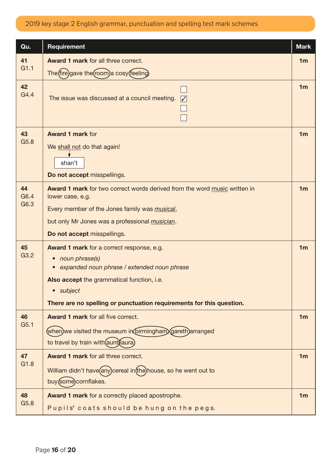| Qu.        | Requirement                                                                                   | <b>Mark</b>    |  |  |  |
|------------|-----------------------------------------------------------------------------------------------|----------------|--|--|--|
| 41<br>G1.1 | <b>Award 1 mark for all three correct.</b>                                                    | 1 <sub>m</sub> |  |  |  |
|            | The (fire) gave the (room) a cosy (feeling).                                                  |                |  |  |  |
| 42<br>G4.4 | The issue was discussed at a council meeting.<br>$\sqrt{}$                                    |                |  |  |  |
| 43         | <b>Award 1 mark for</b>                                                                       | 1 <sub>m</sub> |  |  |  |
| G5.8       | We shall not do that again!                                                                   |                |  |  |  |
|            | shan't                                                                                        |                |  |  |  |
|            | Do not accept misspellings.                                                                   |                |  |  |  |
| 44<br>G6.4 | Award 1 mark for two correct words derived from the word music written in<br>lower case, e.g. | 1 <sub>m</sub> |  |  |  |
| G6.3       | Every member of the Jones family was musical,                                                 |                |  |  |  |
|            | but only Mr Jones was a professional musician.                                                |                |  |  |  |
|            | Do not accept misspellings.                                                                   |                |  |  |  |
| 45<br>G3.2 | <b>Award 1 mark</b> for a correct response, e.g.                                              | 1 <sub>m</sub> |  |  |  |
|            | • noun phrase(s)<br>• expanded noun phrase / extended noun phrase                             |                |  |  |  |
|            | Also accept the grammatical function, i.e.                                                    |                |  |  |  |
|            | · subject                                                                                     |                |  |  |  |
|            | There are no spelling or punctuation requirements for this question.                          |                |  |  |  |
| 46         | <b>Award 1 mark for all five correct.</b>                                                     | 1 <sub>m</sub> |  |  |  |
| G5.1       | (when)we visited the museum in (birmingham) (gareth) arranged                                 |                |  |  |  |
|            | to travel by train with (aunt) aura)                                                          |                |  |  |  |
| 47         | <b>Award 1 mark for all three correct.</b>                                                    | 1 <sub>m</sub> |  |  |  |
| G1.8       | William didn't have(any)cereal in(the)house, so he went out to                                |                |  |  |  |
|            | buy (some) cornflakes.                                                                        |                |  |  |  |
| 48<br>G5.8 | Award 1 mark for a correctly placed apostrophe.                                               | 1 <sub>m</sub> |  |  |  |
|            | Pupils' coats should be hung on the pegs.                                                     |                |  |  |  |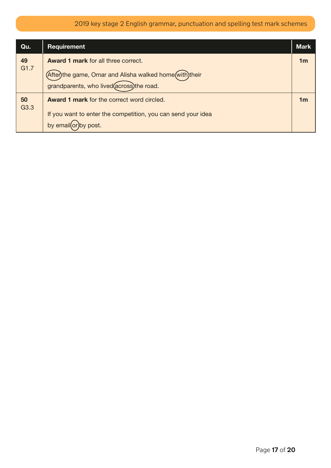| Qu.        | <b>Requirement</b><br><b>Mark</b>                                                                                                                  |  |  |  |  |
|------------|----------------------------------------------------------------------------------------------------------------------------------------------------|--|--|--|--|
| 49<br>G1.7 | <b>Award 1 mark for all three correct.</b><br>(After)the game, Omar and Alisha walked home(with)their<br>grandparents, who lived across) the road. |  |  |  |  |
| 50<br>G3.3 | <b>Award 1 mark</b> for the correct word circled.<br>If you want to enter the competition, you can send your idea<br>by email(or) by post.         |  |  |  |  |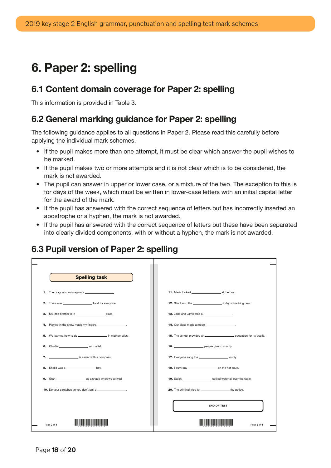## <span id="page-17-0"></span>6. Paper 2: spelling

#### 6.1 Content domain coverage for Paper 2: spelling

This information is provided in Table 3.

#### 6.2 General marking guidance for Paper 2: spelling

The following guidance applies to all questions in Paper 2. Please read this carefully before applying the individual mark schemes.

- If the pupil makes more than one attempt, it must be clear which answer the pupil wishes to be marked.
- If the pupil makes two or more attempts and it is not clear which is to be considered, the mark is not awarded.
- The pupil can answer in upper or lower case, or a mixture of the two. The exception to this is for days of the week, which must be written in lower-case letters with an initial capital letter for the award of the mark.
- If the pupil has answered with the correct sequence of letters but has incorrectly inserted an apostrophe or a hyphen, the mark is not awarded.
- If the pupil has answered with the correct sequence of letters but these have been separated into clearly divided components, with or without a hyphen, the mark is not awarded.

### 6.3 Pupil version of Paper 2: spelling

| <b>Spelling task</b>                                        |                                                                       |
|-------------------------------------------------------------|-----------------------------------------------------------------------|
| 1. The dragon is an imaginary ______________________        |                                                                       |
| 2. There was __________________________ food for everyone.  | 12. She found the _______________________ to try something new.       |
| 3. My little brother is in _________________________ class. | <b>13.</b> Jade and Jamie had a                                       |
| 4. Playing in the snow made my fingers __________________.  | 14. Our class made a model                                            |
|                                                             |                                                                       |
| 6. Charlie __________________________ with relief.          | 16. ______________________ people give to charity.                    |
| 7. ________________________ is easier with a compass.       | 17. Everyone sang the ______________________ loudly.                  |
| 8. Khalid was a                                             |                                                                       |
|                                                             | 19. Sarah _________________________ spilled water all over the table. |
| 10. Do your stretches so you don't pull a                   | 20. The criminal tried to _________________________ the police.       |
|                                                             | <b>END OF TEST</b>                                                    |
| Page 2 of 4                                                 | Page 3 of 4                                                           |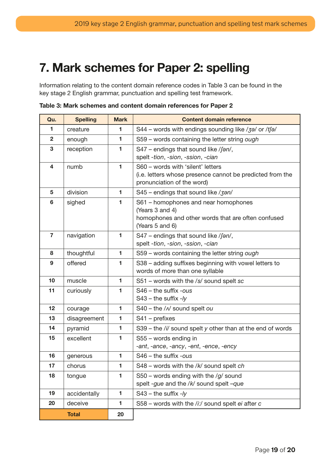## <span id="page-18-0"></span>7. Mark schemes for Paper 2: spelling

Information relating to the content domain reference codes in Table 3 can be found in the key stage 2 English grammar, punctuation and spelling test framework.

| Qu.                     | <b>Spelling</b> | <b>Mark</b>    | <b>Content domain reference</b>                                                         |
|-------------------------|-----------------|----------------|-----------------------------------------------------------------------------------------|
| 1                       | creature        | 1              | S44 - words with endings sounding like /3a/ or /tfa/                                    |
| $\overline{\mathbf{2}}$ | enough          | 1              | S59 - words containing the letter string ough                                           |
| 3                       | reception       | 1              | S47 - endings that sound like /fan/,                                                    |
|                         |                 |                | spelt -tion, -sion, -ssion, -cian                                                       |
| $\overline{\mathbf{4}}$ | numb            | 1              | S60 - words with 'silent' letters                                                       |
|                         |                 |                | (i.e. letters whose presence cannot be predicted from the<br>pronunciation of the word) |
| 5                       | division        | 1              | S45 - endings that sound like / 3an/                                                    |
| 6                       | sighed          | 1              | S61 - homophones and near homophones                                                    |
|                         |                 |                | (Years 3 and 4)                                                                         |
|                         |                 |                | homophones and other words that are often confused                                      |
| $\overline{7}$          |                 |                | (Years 5 and 6)                                                                         |
|                         | navigation      | 1              | S47 - endings that sound like /fan/,<br>spelt -tion, -sion, -ssion, -cian               |
| 8                       | thoughtful      | $\blacksquare$ | S59 - words containing the letter string ough                                           |
| 9                       | offered         | 1              | S38 - adding suffixes beginning with vowel letters to                                   |
|                         |                 |                | words of more than one syllable                                                         |
| 10                      | muscle          | 1              | S51 – words with the /s/ sound spelt sc                                                 |
| 11                      | curiously       | 1              | S46 - the suffix -ous                                                                   |
|                         |                 |                | $S43$ – the suffix -ly                                                                  |
| 12                      | courage         | 1              | S40 - the / N sound spelt ou                                                            |
| 13                      | disagreement    | 1              | S41 - prefixes                                                                          |
| 14                      | pyramid         | 1              | S39 - the /i/ sound spelt y other than at the end of words                              |
| 15                      | excellent       | 1              | S55 - words ending in                                                                   |
|                         |                 |                | -ant, -ance, -ancy, -ent, -ence, -ency                                                  |
| 16                      | generous        | 1              | S46 - the suffix -ous                                                                   |
| 17                      | chorus          | 1              | S48 – words with the /k/ sound spelt ch                                                 |
| 18                      | tongue          | 1              | S50 – words ending with the $/g$ sound<br>spelt -gue and the /k/ sound spelt -que       |
| 19                      | accidentally    | 1              | $S43$ – the suffix -ly                                                                  |
| 20                      | deceive         | 1              | S58 – words with the /i:/ sound spelt ei after c                                        |
|                         |                 |                |                                                                                         |
| <b>Total</b>            |                 | 20             |                                                                                         |

Table 3: Mark schemes and content domain references for Paper 2